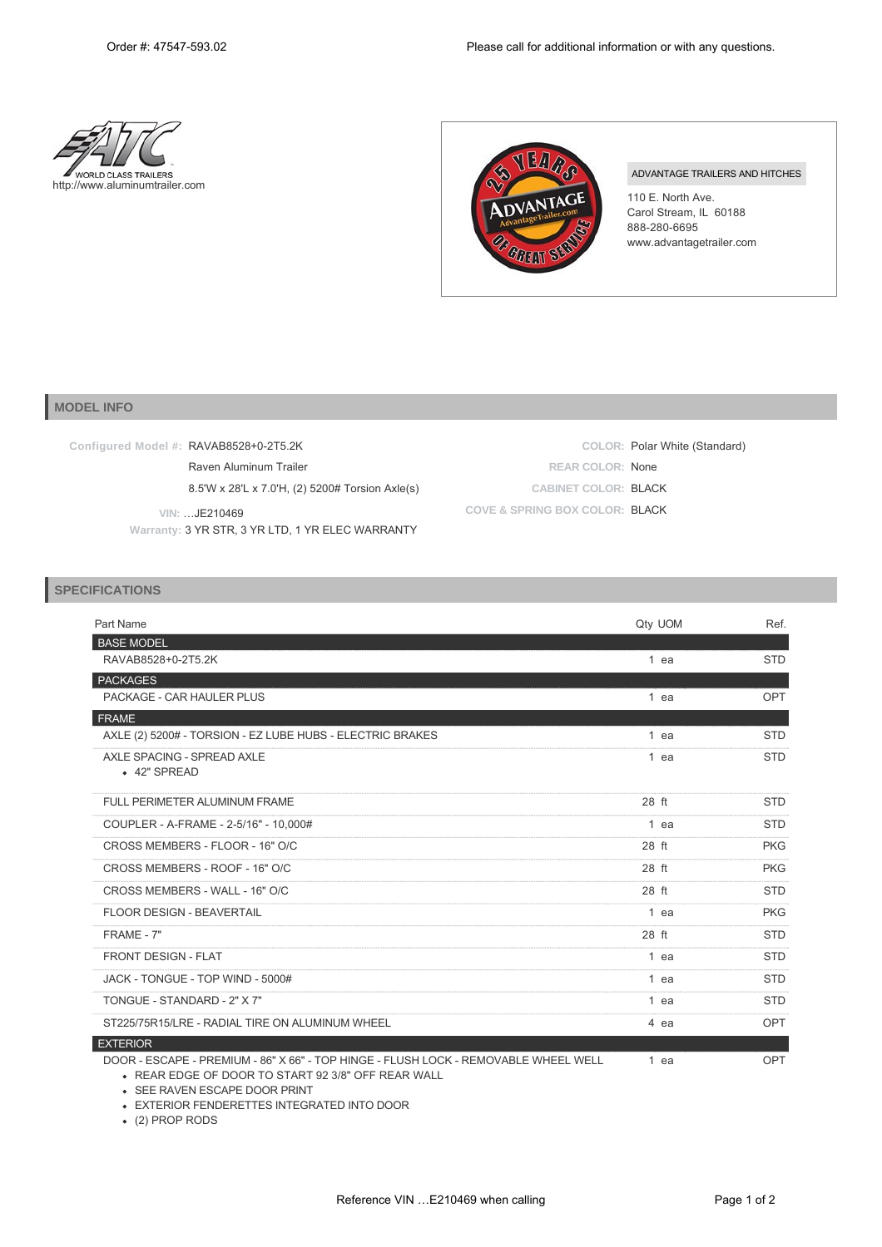



## ADVANTAGE TRAILERS AND HITCHES

110 E. North Ave. Carol Stream, IL 60188 888-280-6695 www.advantagetrailer.com

## **MODEL INFO**

| Configured Model #: RAVAB8528+0-2T5.2K                            |                                | COLOR: Polar White (Standard) |
|-------------------------------------------------------------------|--------------------------------|-------------------------------|
| Raven Aluminum Trailer                                            | <b>REAR COLOR: None</b>        |                               |
| 8.5'W x 28'L x 7.0'H, (2) 5200# Torsion Axle(s)                   | <b>CABINET COLOR: BLACK</b>    |                               |
| VIN: JE210469<br>Warranty: 3 YR STR, 3 YR LTD, 1 YR ELEC WARRANTY | COVE & SPRING BOX COLOR: BLACK |                               |

## **SPECIFICATIONS**

| Part Name                                                                                                                                 | Qty UOM | Ref.       |
|-------------------------------------------------------------------------------------------------------------------------------------------|---------|------------|
| <b>BASE MODEL</b>                                                                                                                         |         |            |
| RAVAB8528+0-2T5.2K                                                                                                                        | 1 ea    | <b>STD</b> |
| <b>PACKAGES</b>                                                                                                                           |         |            |
| PACKAGE - CAR HAULER PLUS                                                                                                                 | 1 ea    | <b>OPT</b> |
| <b>FRAME</b>                                                                                                                              |         |            |
| AXLE (2) 5200# - TORSION - EZ LUBE HUBS - ELECTRIC BRAKES                                                                                 | 1 ea    | <b>STD</b> |
| AXLE SPACING - SPREAD AXLE<br>• 42" SPREAD                                                                                                | 1 ea    | <b>STD</b> |
| <b>FULL PERIMETER ALUMINUM FRAME</b>                                                                                                      | 28 ft   | <b>STD</b> |
| COUPLER - A-FRAME - 2-5/16" - 10,000#                                                                                                     | 1 ea    | <b>STD</b> |
| CROSS MEMBERS - FLOOR - 16" O/C                                                                                                           | 28 ft   | <b>PKG</b> |
| CROSS MEMBERS - ROOF - 16" O/C                                                                                                            | 28 ft   | <b>PKG</b> |
| CROSS MEMBERS - WALL - 16" O/C                                                                                                            | 28 ft   | <b>STD</b> |
| <b>FLOOR DESIGN - BEAVERTAIL</b>                                                                                                          | 1 ea    | <b>PKG</b> |
| FRAME - 7"                                                                                                                                | 28 ft   | <b>STD</b> |
| FRONT DESIGN - FLAT                                                                                                                       | 1 ea    | <b>STD</b> |
| JACK - TONGUE - TOP WIND - 5000#                                                                                                          | 1 ea    | <b>STD</b> |
| TONGUE - STANDARD - 2" X 7"                                                                                                               | 1 ea    | <b>STD</b> |
| ST225/75R15/LRE - RADIAL TIRE ON ALUMINUM WHEEL                                                                                           | 4 ea    | <b>OPT</b> |
| <b>EXTERIOR</b>                                                                                                                           |         |            |
| DOOR - ESCAPE - PREMIUM - 86" X 66" - TOP HINGE - FLUSH LOCK - REMOVABLE WHEEL WELL<br>• REAR EDGE OF DOOR TO START 92 3/8" OFF REAR WALL | 1 ea    | <b>OPT</b> |

SEE RAVEN ESCAPE DOOR PRINT EXTERIOR FENDERETTES INTEGRATED INTO DOOR

(2) PROP RODS